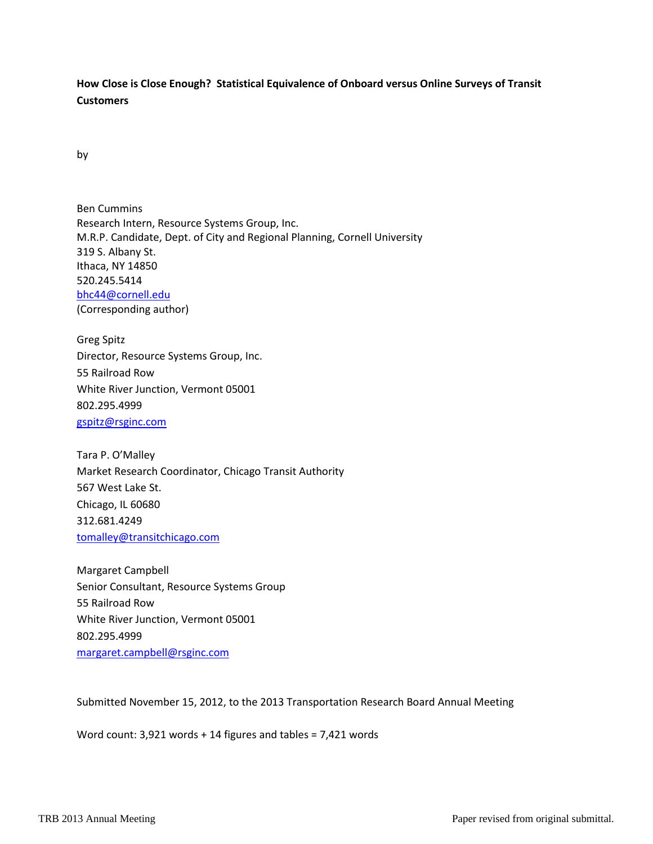# **How Close is Close Enough? Statistical Equivalence of Onboard versus Online Surveys of Transit Customers**

by

Ben Cummins Research Intern, Resource Systems Group, Inc. M.R.P. Candidate, Dept. of City and Regional Planning, Cornell University 319 S. Albany St. Ithaca, NY 14850 520.245.5414 bhc44@cornell.edu (Corresponding author)

Greg Spitz Director, Resource Systems Group, Inc. 55 Railroad Row White River Junction, Vermont 05001 802.295.4999 gspitz@rsginc.com

Tara P. O'Malley Market Research Coordinator, Chicago Transit Authority 567 West Lake St. Chicago, IL 60680 312.681.4249 tomalley@transitchicago.com

Margaret Campbell Senior Consultant, Resource Systems Group 55 Railroad Row White River Junction, Vermont 05001 802.295.4999 margaret.campbell@rsginc.com

Submitted November 15, 2012, to the 2013 Transportation Research Board Annual Meeting

Word count: 3,921 words + 14 figures and tables = 7,421 words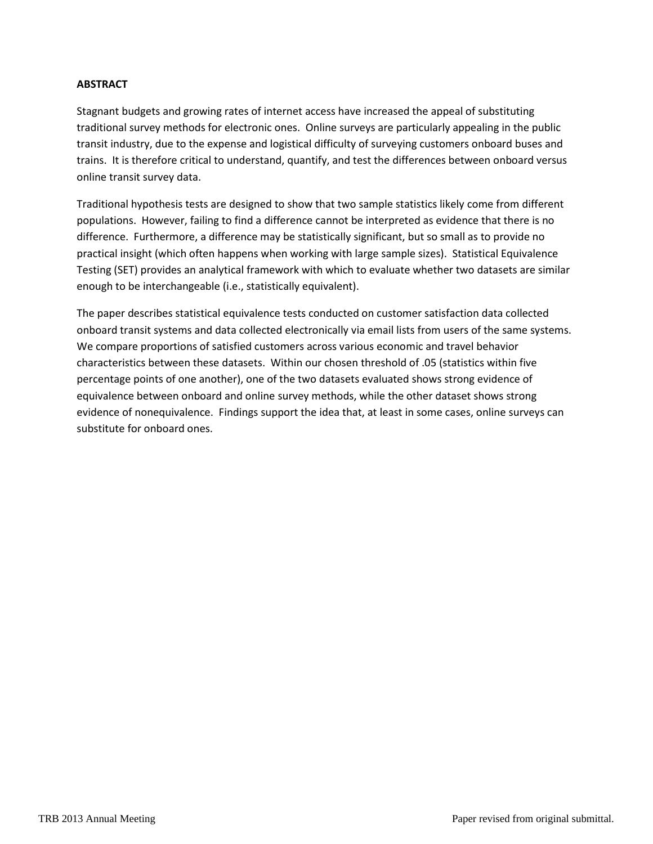## **ABSTRACT**

Stagnant budgets and growing rates of internet access have increased the appeal of substituting traditional survey methods for electronic ones. Online surveys are particularly appealing in the public transit industry, due to the expense and logistical difficulty of surveying customers onboard buses and trains. It is therefore critical to understand, quantify, and test the differences between onboard versus online transit survey data.

Traditional hypothesis tests are designed to show that two sample statistics likely come from different populations. However, failing to find a difference cannot be interpreted as evidence that there is no difference. Furthermore, a difference may be statistically significant, but so small as to provide no practical insight (which often happens when working with large sample sizes). Statistical Equivalence Testing (SET) provides an analytical framework with which to evaluate whether two datasets are similar enough to be interchangeable (i.e., statistically equivalent).

The paper describes statistical equivalence tests conducted on customer satisfaction data collected onboard transit systems and data collected electronically via email lists from users of the same systems. We compare proportions of satisfied customers across various economic and travel behavior characteristics between these datasets. Within our chosen threshold of .05 (statistics within five percentage points of one another), one of the two datasets evaluated shows strong evidence of equivalence between onboard and online survey methods, while the other dataset shows strong evidence of nonequivalence. Findings support the idea that, at least in some cases, online surveys can substitute for onboard ones.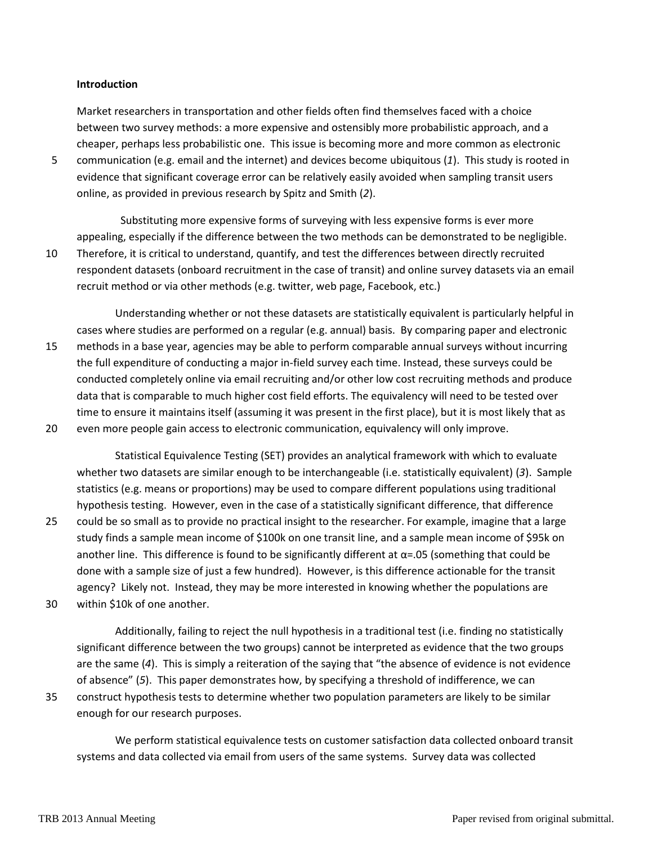#### **Introduction**

Market researchers in transportation and other fields often find themselves faced with a choice between two survey methods: a more expensive and ostensibly more probabilistic approach, and a cheaper, perhaps less probabilistic one. This issue is becoming more and more common as electronic

5 communication (e.g. email and the internet) and devices become ubiquitous (*1*). This study is rooted in evidence that significant coverage error can be relatively easily avoided when sampling transit users online, as provided in previous research by Spitz and Smith (*2*).

Substituting more expensive forms of surveying with less expensive forms is ever more appealing, especially if the difference between the two methods can be demonstrated to be negligible. 10 Therefore, it is critical to understand, quantify, and test the differences between directly recruited respondent datasets (onboard recruitment in the case of transit) and online survey datasets via an email recruit method or via other methods (e.g. twitter, web page, Facebook, etc.)

Understanding whether or not these datasets are statistically equivalent is particularly helpful in cases where studies are performed on a regular (e.g. annual) basis. By comparing paper and electronic 15 methods in a base year, agencies may be able to perform comparable annual surveys without incurring the full expenditure of conducting a major in-field survey each time. Instead, these surveys could be conducted completely online via email recruiting and/or other low cost recruiting methods and produce data that is comparable to much higher cost field efforts. The equivalency will need to be tested over time to ensure it maintains itself (assuming it was present in the first place), but it is most likely that as 20 even more people gain access to electronic communication, equivalency will only improve.

Statistical Equivalence Testing (SET) provides an analytical framework with which to evaluate whether two datasets are similar enough to be interchangeable (i.e. statistically equivalent) (*3*). Sample statistics (e.g. means or proportions) may be used to compare different populations using traditional hypothesis testing. However, even in the case of a statistically significant difference, that difference 25 could be so small as to provide no practical insight to the researcher. For example, imagine that a large study finds a sample mean income of \$100k on one transit line, and a sample mean income of \$95k on another line. This difference is found to be significantly different at  $\alpha$ =.05 (something that could be done with a sample size of just a few hundred). However, is this difference actionable for the transit agency? Likely not. Instead, they may be more interested in knowing whether the populations are

30 within \$10k of one another.

Additionally, failing to reject the null hypothesis in a traditional test (i.e. finding no statistically significant difference between the two groups) cannot be interpreted as evidence that the two groups are the same (*4*). This is simply a reiteration of the saying that "the absence of evidence is not evidence of absence" (*5*). This paper demonstrates how, by specifying a threshold of indifference, we can 35 construct hypothesis tests to determine whether two population parameters are likely to be similar

enough for our research purposes.

We perform statistical equivalence tests on customer satisfaction data collected onboard transit systems and data collected via email from users of the same systems. Survey data was collected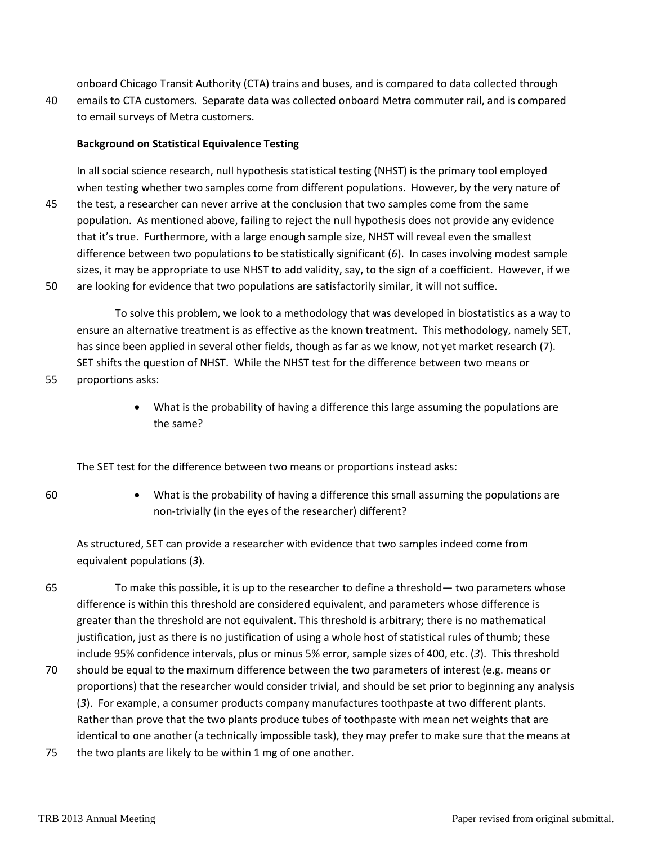onboard Chicago Transit Authority (CTA) trains and buses, and is compared to data collected through

40 emails to CTA customers. Separate data was collected onboard Metra commuter rail, and is compared to email surveys of Metra customers.

## **Background on Statistical Equivalence Testing**

In all social science research, null hypothesis statistical testing (NHST) is the primary tool employed when testing whether two samples come from different populations. However, by the very nature of 45 the test, a researcher can never arrive at the conclusion that two samples come from the same population. As mentioned above, failing to reject the null hypothesis does not provide any evidence

that it's true. Furthermore, with a large enough sample size, NHST will reveal even the smallest difference between two populations to be statistically significant (*6*). In cases involving modest sample sizes, it may be appropriate to use NHST to add validity, say, to the sign of a coefficient. However, if we 50 are looking for evidence that two populations are satisfactorily similar, it will not suffice.

To solve this problem, we look to a methodology that was developed in biostatistics as a way to ensure an alternative treatment is as effective as the known treatment. This methodology, namely SET, has since been applied in several other fields, though as far as we know, not yet market research (7). SET shifts the question of NHST. While the NHST test for the difference between two means or 55 proportions asks:

> What is the probability of having a difference this large assuming the populations are the same?

The SET test for the difference between two means or proportions instead asks:

- 
- 60 What is the probability of having a difference this small assuming the populations are non-trivially (in the eyes of the researcher) different?

As structured, SET can provide a researcher with evidence that two samples indeed come from equivalent populations (*3*).

- 65 To make this possible, it is up to the researcher to define a threshold— two parameters whose difference is within this threshold are considered equivalent, and parameters whose difference is greater than the threshold are not equivalent. This threshold is arbitrary; there is no mathematical justification, just as there is no justification of using a whole host of statistical rules of thumb; these include 95% confidence intervals, plus or minus 5% error, sample sizes of 400, etc. (*3*). This threshold
- 70 should be equal to the maximum difference between the two parameters of interest (e.g. means or proportions) that the researcher would consider trivial, and should be set prior to beginning any analysis (*3*). For example, a consumer products company manufactures toothpaste at two different plants. Rather than prove that the two plants produce tubes of toothpaste with mean net weights that are identical to one another (a technically impossible task), they may prefer to make sure that the means at
- 75 the two plants are likely to be within 1 mg of one another.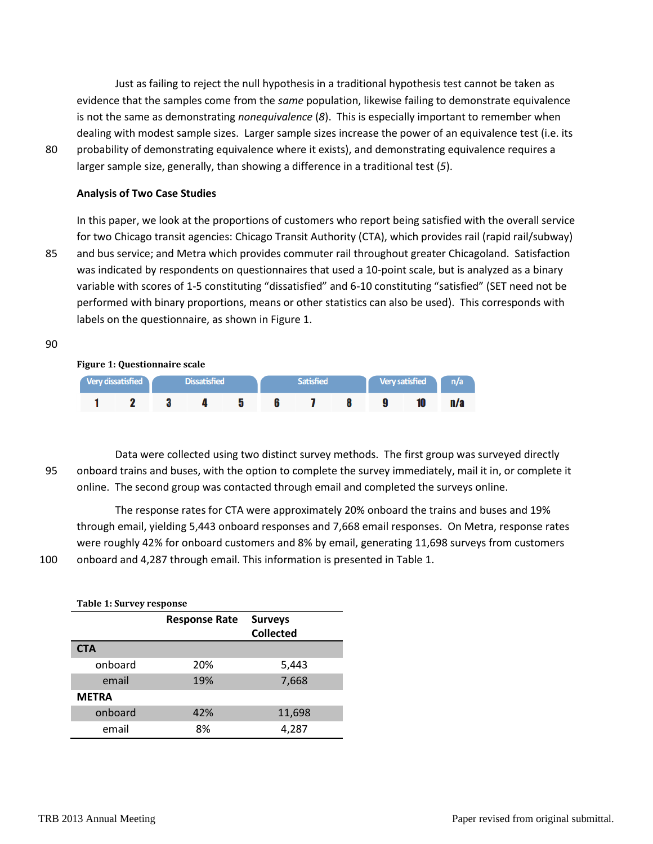Just as failing to reject the null hypothesis in a traditional hypothesis test cannot be taken as evidence that the samples come from the *same* population, likewise failing to demonstrate equivalence is not the same as demonstrating *nonequivalence* (*8*). This is especially important to remember when dealing with modest sample sizes. Larger sample sizes increase the power of an equivalence test (i.e. its 80 probability of demonstrating equivalence where it exists), and demonstrating equivalence requires a larger sample size, generally, than showing a difference in a traditional test (*5*).

### **Analysis of Two Case Studies**

In this paper, we look at the proportions of customers who report being satisfied with the overall service for two Chicago transit agencies: Chicago Transit Authority (CTA), which provides rail (rapid rail/subway) 85 and bus service; and Metra which provides commuter rail throughout greater Chicagoland. Satisfaction was indicated by respondents on questionnaires that used a 10-point scale, but is analyzed as a binary variable with scores of 1-5 constituting "dissatisfied" and 6-10 constituting "satisfied" (SET need not be performed with binary proportions, means or other statistics can also be used). This corresponds with labels on the questionnaire, as shown in Figure 1.

90

**Figure 1: Questionnaire scale**



Data were collected using two distinct survey methods. The first group was surveyed directly 95 onboard trains and buses, with the option to complete the survey immediately, mail it in, or complete it online. The second group was contacted through email and completed the surveys online.

The response rates for CTA were approximately 20% onboard the trains and buses and 19% through email, yielding 5,443 onboard responses and 7,668 email responses. On Metra, response rates were roughly 42% for onboard customers and 8% by email, generating 11,698 surveys from customers 100 onboard and 4,287 through email. This information is presented in Table 1.

| Table 1: Survey response |                      |                                    |  |  |  |
|--------------------------|----------------------|------------------------------------|--|--|--|
|                          | <b>Response Rate</b> | <b>Surveys</b><br><b>Collected</b> |  |  |  |
| <b>CTA</b>               |                      |                                    |  |  |  |
| onboard                  | 20%                  | 5,443                              |  |  |  |
| email                    | 19%                  | 7,668                              |  |  |  |
| <b>METRA</b>             |                      |                                    |  |  |  |
| onboard                  | 42%                  | 11,698                             |  |  |  |
| email                    | 8%                   | 4,287                              |  |  |  |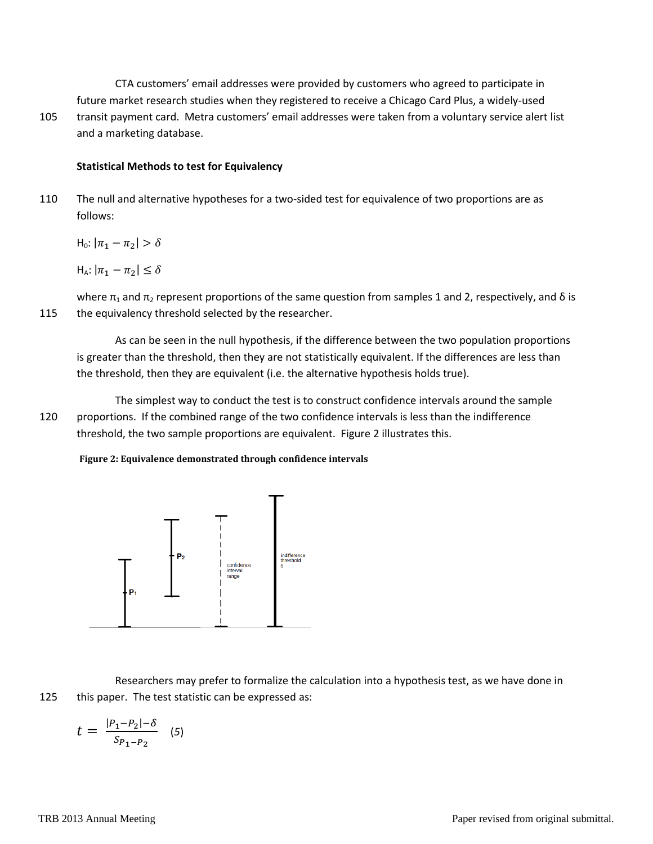CTA customers' email addresses were provided by customers who agreed to participate in

future market research studies when they registered to receive a Chicago Card Plus, a widely-used 105 transit payment card. Metra customers' email addresses were taken from a voluntary service alert list and a marketing database.

## **Statistical Methods to test for Equivalency**

110 The null and alternative hypotheses for a two-sided test for equivalence of two proportions are as follows:

 $H_0: |\pi_1 - \pi_2| >$ 

 $H_A: |\pi_1 - \pi_2| \le$ 

where  $\pi_1$  and  $\pi_2$  represent proportions of the same question from samples 1 and 2, respectively, and  $\delta$  is 115 the equivalency threshold selected by the researcher.

As can be seen in the null hypothesis, if the difference between the two population proportions is greater than the threshold, then they are not statistically equivalent. If the differences are less than the threshold, then they are equivalent (i.e. the alternative hypothesis holds true).

The simplest way to conduct the test is to construct confidence intervals around the sample 120 proportions. If the combined range of the two confidence intervals is less than the indifference threshold, the two sample proportions are equivalent. Figure 2 illustrates this.

**Figure 2: Equivalence demonstrated through confidence intervals**



Researchers may prefer to formalize the calculation into a hypothesis test, as we have done in 125 this paper. The test statistic can be expressed as:

$$
t = \frac{|P_1 - P_2| - \delta}{S_{P_1 - P_2}} \quad (5)
$$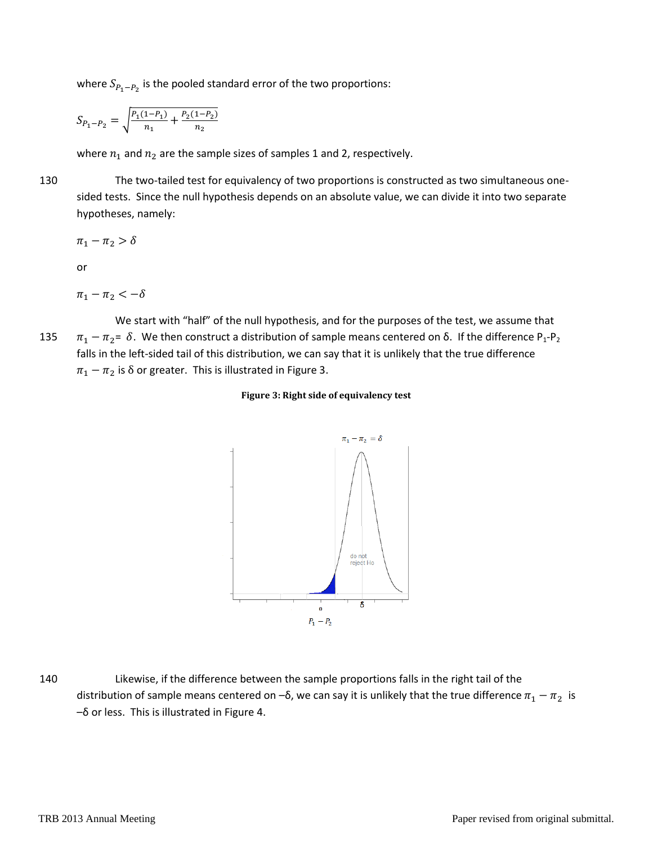where  $S_{P_1-P_2}$  is the pooled standard error of the two proportions:

$$
S_{P_1-P_2} = \sqrt{\frac{P_1(1-P_1)}{n_1} + \frac{P_2(1-P_2)}{n_2}}
$$

where  $n_1$  and  $n_2$  are the sample sizes of samples 1 and 2, respectively.

130 The two-tailed test for equivalency of two proportions is constructed as two simultaneous onesided tests. Since the null hypothesis depends on an absolute value, we can divide it into two separate hypotheses, namely:

$$
\pi_1 - \pi_2 > \delta
$$

or

$$
\pi_1 - \pi_2 < -\delta
$$

We start with "half" of the null hypothesis, and for the purposes of the test, we assume that 135  $\pi_1 - \pi_2 = \delta$ . We then construct a distribution of sample means centered on δ. If the difference P<sub>1</sub>-P<sub>2</sub> falls in the left-sided tail of this distribution, we can say that it is unlikely that the true difference  $\pi_1 - \pi_2$  is  $\delta$  or greater. This is illustrated in Figure 3.

#### **Figure 3: Right side of equivalency test**



140 Likewise, if the difference between the sample proportions falls in the right tail of the distribution of sample means centered on –δ, we can say it is unlikely that the true difference  $\pi_1 - \pi_2$  is –δ or less. This is illustrated in Figure 4.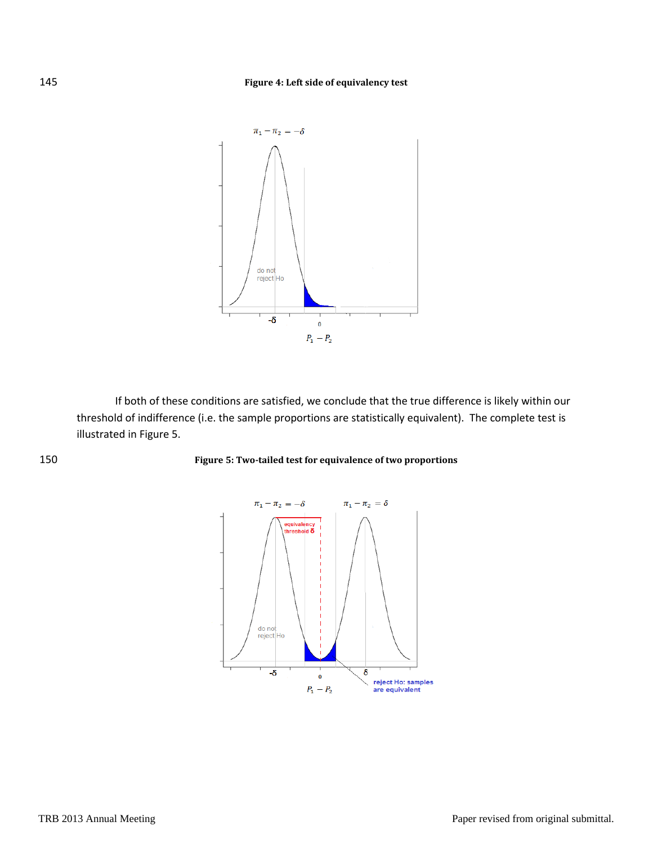

If both of these conditions are satisfied, we conclude that the true difference is likely within our threshold of indifference (i.e. the sample proportions are statistically equivalent). The complete test is illustrated in Figure 5.



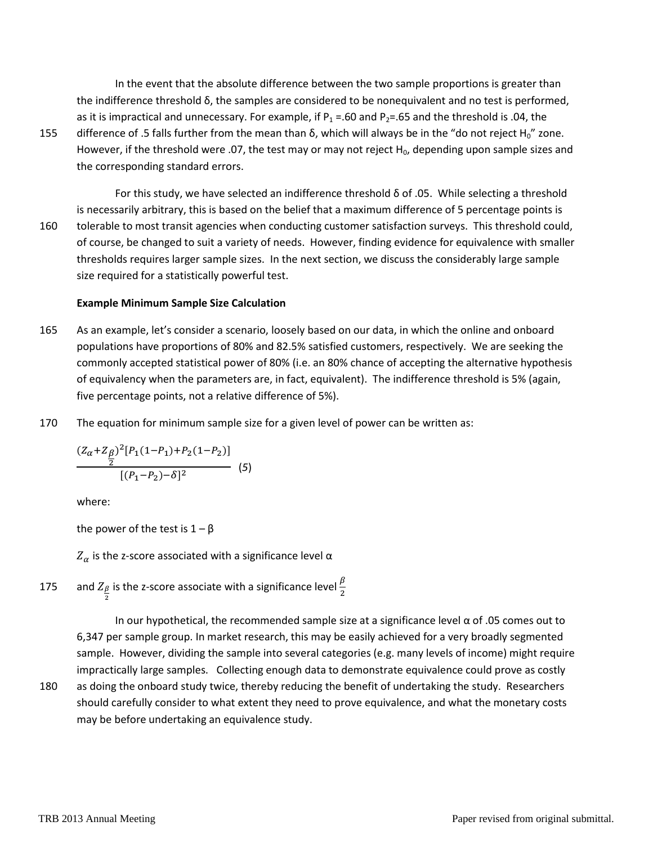In the event that the absolute difference between the two sample proportions is greater than the indifference threshold δ, the samples are considered to be nonequivalent and no test is performed, as it is impractical and unnecessary. For example, if  $P_1 = .60$  and  $P_2 = .65$  and the threshold is .04, the 155 difference of .5 falls further from the mean than  $\delta$ , which will always be in the "do not reject H<sub>0</sub>" zone. However, if the threshold were .07, the test may or may not reject  $H_0$ , depending upon sample sizes and the corresponding standard errors.

For this study, we have selected an indifference threshold  $δ$  of .05. While selecting a threshold is necessarily arbitrary, this is based on the belief that a maximum difference of 5 percentage points is 160 tolerable to most transit agencies when conducting customer satisfaction surveys. This threshold could, of course, be changed to suit a variety of needs. However, finding evidence for equivalence with smaller thresholds requires larger sample sizes. In the next section, we discuss the considerably large sample size required for a statistically powerful test.

#### **Example Minimum Sample Size Calculation**

- 165 As an example, let's consider a scenario, loosely based on our data, in which the online and onboard populations have proportions of 80% and 82.5% satisfied customers, respectively. We are seeking the commonly accepted statistical power of 80% (i.e. an 80% chance of accepting the alternative hypothesis of equivalency when the parameters are, in fact, equivalent). The indifference threshold is 5% (again, five percentage points, not a relative difference of 5%).
- 170 The equation for minimum sample size for a given level of power can be written as:

$$
\frac{(Z_{\alpha}+Z_{\underline{\beta}})^2[P_1(1-P_1)+P_2(1-P_2)]}{[(P_1-P_2)-\delta]^2}
$$
 (5)

where:

the power of the test is  $1 - \beta$ 

 $Z_{\alpha}$  is the z-score associated with a significance level  $\alpha$ 

and  $Z_{\frac{\beta}{2}}$  is the z-score associate with a significance level  $\frac{\beta}{2}$ 175

> In our hypothetical, the recommended sample size at a significance level  $\alpha$  of .05 comes out to 6,347 per sample group. In market research, this may be easily achieved for a very broadly segmented sample. However, dividing the sample into several categories (e.g. many levels of income) might require impractically large samples. Collecting enough data to demonstrate equivalence could prove as costly

180 as doing the onboard study twice, thereby reducing the benefit of undertaking the study. Researchers should carefully consider to what extent they need to prove equivalence, and what the monetary costs may be before undertaking an equivalence study.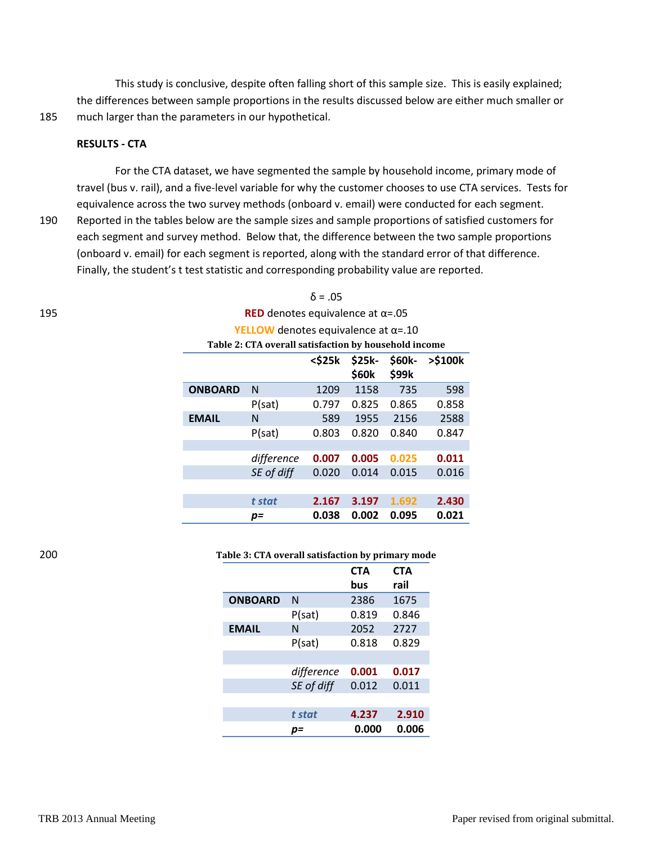This study is conclusive, despite often falling short of this sample size. This is easily explained; the differences between sample proportions in the results discussed below are either much smaller or 185 much larger than the parameters in our hypothetical.

For the CTA dataset, we have segmented the sample by household income, primary mode of travel (bus v. rail), and a five-level variable for why the customer chooses to use CTA services. Tests for equivalence across the two survey methods (onboard v. email) were conducted for each segment. 190 Reported in the tables below are the sample sizes and sample proportions of satisfied customers for each segment and survey method. Below that, the difference between the two sample proportions (onboard v. email) for each segment is reported, along with the standard error of that difference.

Finally, the student's t test statistic and corresponding probability value are reported.

195 **RED** denotes equivalence at α=.05

**YELLOW** denotes equivalence at α=.10

| Table 2: CTA overall satisfaction by household income |  |  |  |
|-------------------------------------------------------|--|--|--|
|-------------------------------------------------------|--|--|--|

|                |            | <\$25k | \$25k-<br>\$60k | \$60k-<br>\$99k | >\$100k |
|----------------|------------|--------|-----------------|-----------------|---------|
| <b>ONBOARD</b> | N          | 1209   | 1158            | 735             | 598     |
|                | P(sat)     | 0.797  | 0.825           | 0.865           | 0.858   |
| <b>EMAIL</b>   | N          | 589    | 1955            | 2156            | 2588    |
|                | P(sat)     | 0.803  | 0.820           | 0.840           | 0.847   |
|                |            |        |                 |                 |         |
|                | difference | 0.007  | 0.005           | 0.025           | 0.011   |
|                | SE of diff | 0.020  | 0.014           | 0.015           | 0.016   |
|                |            |        |                 |                 |         |
|                | t stat     | 2.167  | 3.197           | 1.692           | 2.430   |
|                | p=         | 0.038  | 0.002           | 0.095           | 0.021   |

| 200 | Table 3: CTA overall satisfaction by primary mode |  |
|-----|---------------------------------------------------|--|
|-----|---------------------------------------------------|--|

|                |            | <b>CTA</b><br>bus | <b>CTA</b><br>rail |
|----------------|------------|-------------------|--------------------|
| <b>ONBOARD</b> | N          | 2386              | 1675               |
|                | P(sat)     | 0.819             | 0.846              |
| <b>EMAIL</b>   | N          | 2052              | 2727               |
|                | P(sat)     | 0.818             | 0.829              |
|                |            |                   |                    |
|                | difference | 0.001             | 0.017              |
|                | SE of diff | 0.012             | 0.011              |
|                |            |                   |                    |
|                | t stat     | 4.237             | 2.910              |
|                | D=         | 0.000             | 0.006              |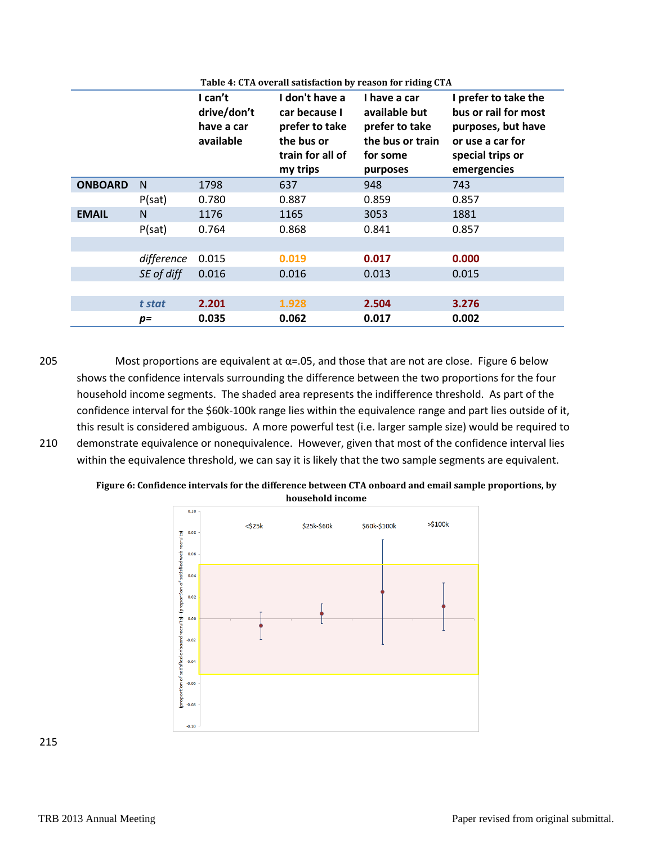|                |            | I can't<br>drive/don't<br>have a car<br>available | I don't have a<br>car because I<br>prefer to take<br>the bus or<br>train for all of<br>my trips | Table +. CTA over an sausiaction by Feason for Tiumg CTA.<br>I have a car<br>available but<br>prefer to take<br>the bus or train<br>for some<br>purposes | I prefer to take the<br>bus or rail for most<br>purposes, but have<br>or use a car for<br>special trips or<br>emergencies |
|----------------|------------|---------------------------------------------------|-------------------------------------------------------------------------------------------------|----------------------------------------------------------------------------------------------------------------------------------------------------------|---------------------------------------------------------------------------------------------------------------------------|
| <b>ONBOARD</b> | N          | 1798                                              | 637                                                                                             | 948                                                                                                                                                      | 743                                                                                                                       |
|                | P(sat)     | 0.780                                             | 0.887                                                                                           | 0.859                                                                                                                                                    | 0.857                                                                                                                     |
| <b>EMAIL</b>   | N.         | 1176                                              | 1165                                                                                            | 3053                                                                                                                                                     | 1881                                                                                                                      |
|                | P(sat)     | 0.764                                             | 0.868                                                                                           | 0.841                                                                                                                                                    | 0.857                                                                                                                     |
|                |            |                                                   |                                                                                                 |                                                                                                                                                          |                                                                                                                           |
|                | difference | 0.015                                             | 0.019                                                                                           | 0.017                                                                                                                                                    | 0.000                                                                                                                     |
|                | SE of diff | 0.016                                             | 0.016                                                                                           | 0.013                                                                                                                                                    | 0.015                                                                                                                     |
|                |            |                                                   |                                                                                                 |                                                                                                                                                          |                                                                                                                           |
|                | t stat     | 2.201                                             | 1.928                                                                                           | 2.504                                                                                                                                                    | 3.276                                                                                                                     |
|                | $p =$      | 0.035                                             | 0.062                                                                                           | 0.017                                                                                                                                                    | 0.002                                                                                                                     |

**Table 4: CTA overall satisfaction by reason for riding CTA**

205 Most proportions are equivalent at  $\alpha$ =.05, and those that are not are close. Figure 6 below shows the confidence intervals surrounding the difference between the two proportions for the four household income segments. The shaded area represents the indifference threshold. As part of the confidence interval for the \$60k-100k range lies within the equivalence range and part lies outside of it, this result is considered ambiguous. A more powerful test (i.e. larger sample size) would be required to 210 demonstrate equivalence or nonequivalence. However, given that most of the confidence interval lies within the equivalence threshold, we can say it is likely that the two sample segments are equivalent.





215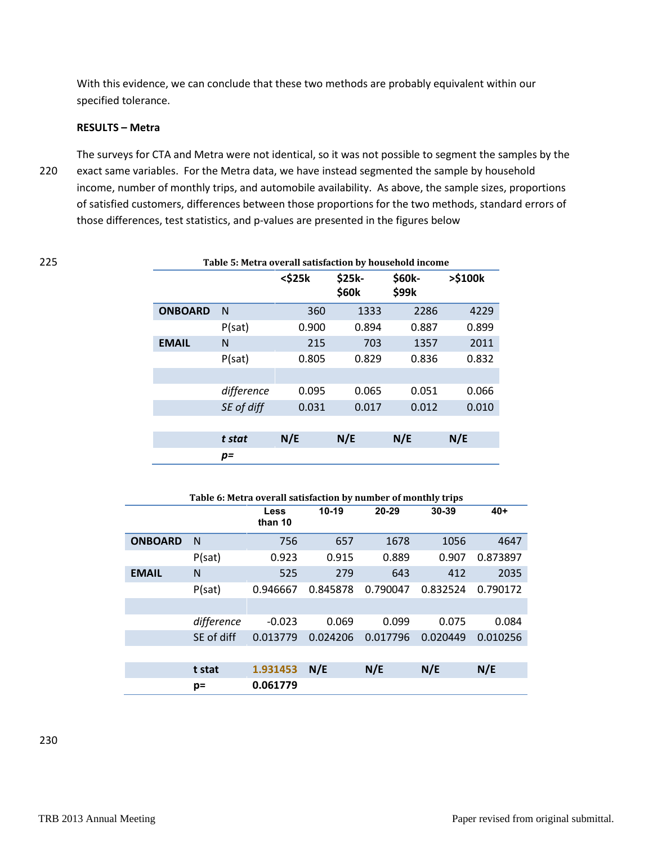With this evidence, we can conclude that these two methods are probably equivalent within our specified tolerance.

### **RESULTS – Metra**

The surveys for CTA and Metra were not identical, so it was not possible to segment the samples by the 220 exact same variables. For the Metra data, we have instead segmented the sample by household income, number of monthly trips, and automobile availability. As above, the sample sizes, proportions of satisfied customers, differences between those proportions for the two methods, standard errors of those differences, test statistics, and p-values are presented in the figures below

| 225 |                | Table 5: Metra overall satisfaction by household income |              |                 |                 |         |
|-----|----------------|---------------------------------------------------------|--------------|-----------------|-----------------|---------|
|     |                |                                                         | $<$ \$25 $k$ | \$25k-<br>\$60k | \$60k-<br>\$99k | >\$100k |
|     | <b>ONBOARD</b> | N                                                       | 360          | 1333            | 2286            | 4229    |
|     |                | P(sat)                                                  | 0.900        | 0.894           | 0.887           | 0.899   |
|     | <b>EMAIL</b>   | N                                                       | 215          | 703             | 1357            | 2011    |
|     |                | P(sat)                                                  | 0.805        | 0.829           | 0.836           | 0.832   |
|     |                |                                                         |              |                 |                 |         |
|     |                | difference                                              | 0.095        | 0.065           | 0.051           | 0.066   |
|     |                | SE of diff                                              | 0.031        | 0.017           | 0.012           | 0.010   |
|     |                |                                                         |              |                 |                 |         |
|     |                | t stat                                                  | N/E          | N/E             | N/E             | N/E     |
|     |                | $p =$                                                   |              |                 |                 |         |

|                | Table 6: Metra overall satisfaction by number of monthly trips |                 |          |          |          |          |
|----------------|----------------------------------------------------------------|-----------------|----------|----------|----------|----------|
|                |                                                                | Less<br>than 10 | $10-19$  | 20-29    | 30-39    | $40+$    |
| <b>ONBOARD</b> | N                                                              | 756             | 657      | 1678     | 1056     | 4647     |
|                | P(sat)                                                         | 0.923           | 0.915    | 0.889    | 0.907    | 0.873897 |
| <b>EMAIL</b>   | N                                                              | 525             | 279      | 643      | 412      | 2035     |
|                | P(sat)                                                         | 0.946667        | 0.845878 | 0.790047 | 0.832524 | 0.790172 |
|                |                                                                |                 |          |          |          |          |
|                | difference                                                     | $-0.023$        | 0.069    | 0.099    | 0.075    | 0.084    |
|                | SE of diff                                                     | 0.013779        | 0.024206 | 0.017796 | 0.020449 | 0.010256 |
|                |                                                                |                 |          |          |          |          |
|                | t stat                                                         | 1.931453        | N/E      | N/E      | N/E      | N/E      |
|                | $p=$                                                           | 0.061779        |          |          |          |          |

230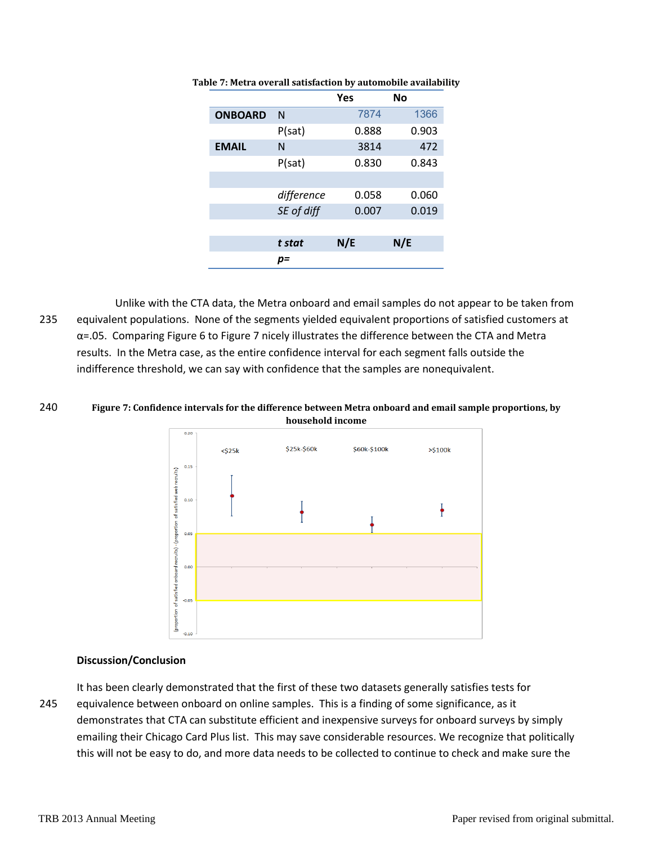|                |            | Yes   | No    |
|----------------|------------|-------|-------|
| <b>ONBOARD</b> | N          | 7874  | 1366  |
|                | P(sat)     | 0.888 | 0.903 |
| <b>EMAIL</b>   | N          | 3814  | 472   |
|                | P(sat)     | 0.830 | 0.843 |
|                |            |       |       |
|                | difference | 0.058 | 0.060 |
|                | SE of diff | 0.007 | 0.019 |
|                |            |       |       |
|                | t stat     | N/E   | N/E   |
|                | p=         |       |       |

**Table 7: Metra overall satisfaction by automobile availability**

Unlike with the CTA data, the Metra onboard and email samples do not appear to be taken from 235 equivalent populations. None of the segments yielded equivalent proportions of satisfied customers at  $\alpha$ =.05. Comparing Figure 6 to Figure 7 nicely illustrates the difference between the CTA and Metra results. In the Metra case, as the entire confidence interval for each segment falls outside the indifference threshold, we can say with confidence that the samples are nonequivalent.

### 240 **Figure 7: Confidence intervals for the difference between Metra onboard and email sample proportions, by household income**



### **Discussion/Conclusion**

It has been clearly demonstrated that the first of these two datasets generally satisfies tests for 245 equivalence between onboard on online samples. This is a finding of some significance, as it demonstrates that CTA can substitute efficient and inexpensive surveys for onboard surveys by simply emailing their Chicago Card Plus list. This may save considerable resources. We recognize that politically this will not be easy to do, and more data needs to be collected to continue to check and make sure the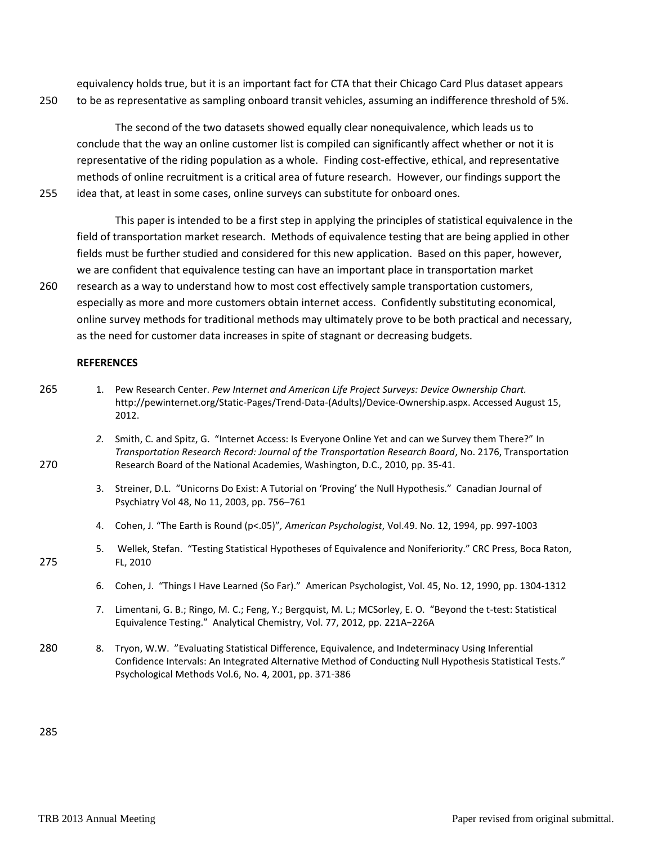equivalency holds true, but it is an important fact for CTA that their Chicago Card Plus dataset appears 250 to be as representative as sampling onboard transit vehicles, assuming an indifference threshold of 5%.

The second of the two datasets showed equally clear nonequivalence, which leads us to conclude that the way an online customer list is compiled can significantly affect whether or not it is representative of the riding population as a whole. Finding cost-effective, ethical, and representative methods of online recruitment is a critical area of future research. However, our findings support the 255 idea that, at least in some cases, online surveys can substitute for onboard ones.

This paper is intended to be a first step in applying the principles of statistical equivalence in the field of transportation market research. Methods of equivalence testing that are being applied in other fields must be further studied and considered for this new application. Based on this paper, however,

we are confident that equivalence testing can have an important place in transportation market 260 research as a way to understand how to most cost effectively sample transportation customers, especially as more and more customers obtain internet access. Confidently substituting economical, online survey methods for traditional methods may ultimately prove to be both practical and necessary, as the need for customer data increases in spite of stagnant or decreasing budgets.

### **REFERENCES**

- 265 1. Pew Research Center. *Pew Internet and American Life Project Surveys: Device Ownership Chart.*  http://pewinternet.org/Static-Pages/Trend-Data-(Adults)/Device-Ownership.aspx. Accessed August 15, 2012.
- *2.* Smith, C. and Spitz, G. "Internet Access: Is Everyone Online Yet and can we Survey them There?" In *Transportation Research Record: Journal of the Transportation Research Board*, No. 2176, Transportation 270 Research Board of the National Academies, Washington, D.C., 2010, pp. 35-41.
	- 3. Streiner, D.L. "Unicorns Do Exist: A Tutorial on 'Proving' the Null Hypothesis." Canadian Journal of Psychiatry Vol 48, No 11, 2003, pp. 756–761
	- 4. Cohen, J. "The Earth is Round (p<.05)"*, American Psychologist*, Vol.49. No. 12, 1994, pp. 997-1003
- 5. Wellek, Stefan. "Testing Statistical Hypotheses of Equivalence and Noniferiority." CRC Press, Boca Raton, 275 FL, 2010
	- 6. Cohen, J. "Things I Have Learned (So Far)." American Psychologist, Vol. 45, No. 12, 1990, pp. 1304-1312
	- 7. Limentani, G. B.; Ringo, M. C.; Feng, Y.; Bergquist, M. L.; MCSorley, E. O. "Beyond the t-test: Statistical Equivalence Testing." Analytical Chemistry, Vol. 77, 2012, pp. 221A−226A
- 280 8. Tryon, W.W. "Evaluating Statistical Difference, Equivalence, and Indeterminacy Using Inferential Confidence Intervals: An Integrated Alternative Method of Conducting Null Hypothesis Statistical Tests." Psychological Methods Vol.6, No. 4, 2001, pp. 371-386

285